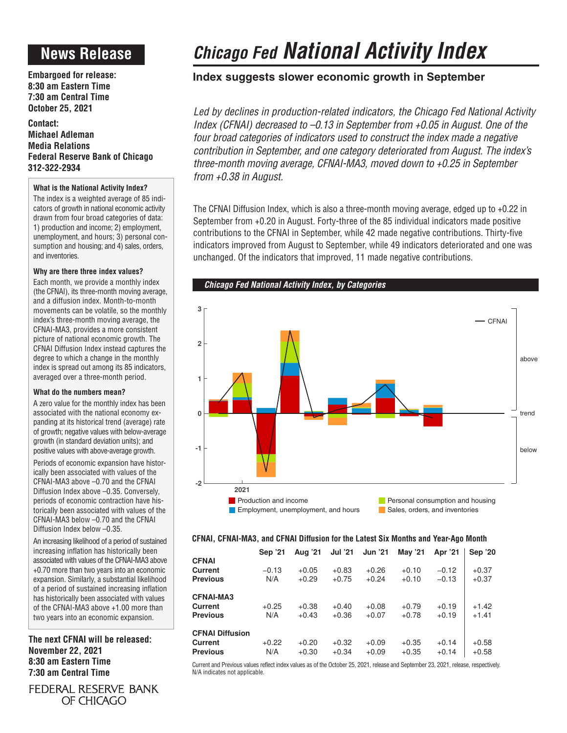## **News Release**

**Embargoed for release: 8:30 am Eastern Time 7:30 am Central Time October 25, 2021**

**Contact: Michael Adleman Media Relations Federal Reserve Bank of Chicago 312-322-2934**

### **What is the National Activity Index?**

The index is a weighted average of 85 indicators of growth in national economic activity drawn from four broad categories of data: 1) production and income; 2) employment, unemployment, and hours; 3) personal consumption and housing; and 4) sales, orders, and inventories.

### **Why are there three index values?**

Each month, we provide a monthly index (the CFNAI), its three-month moving average, and a diffusion index. Month-to-month movements can be volatile, so the monthly index's three-month moving average, the CFNAI-MA3, provides a more consistent picture of national economic growth. The CFNAI Diffusion Index instead captures the degree to which a change in the monthly index is spread out among its 85 indicators, averaged over a three-month period.

### **What do the numbers mean?**

A zero value for the monthly index has been associated with the national economy expanding at its historical trend (average) rate of growth; negative values with below-average growth (in standard deviation units); and positive values with above-average growth.

Periods of economic expansion have historically been associated with values of the CFNAI-MA3 above –0.70 and the CFNAI Diffusion Index above –0.35. Conversely, periods of economic contraction have historically been associated with values of the CFNAI-MA3 below –0.70 and the CFNAI Diffusion Index below –0.35.

An increasing likelihood of a period of sustained increasing inflation has historically been associated with values of the CFNAI-MA3 above +0.70 more than two years into an economic expansion. Similarly, a substantial likelihood of a period of sustained increasing inflation has historically been associated with values of the CFNAI-MA3 above +1.00 more than two years into an economic expansion.

**The next CFNAI will be released: November 22, 2021 8:30 am Eastern Time 7:30 am Central Time**

FEDERAL RESERVE BANK OF CHICAGO

# *Chicago Fed National Activity Index*

### **Index suggests slower economic growth in September**

*Led by declines in production-related indicators, the Chicago Fed National Activity Index (CFNAI) decreased to –0.13 in September from +0.05 in August. One of the four broad categories of indicators used to construct the index made a negative contribution in September, and one category deteriorated from August. The index's three-month moving average, CFNAI-MA3, moved down to +0.25 in September from +0.38 in August.*

The CFNAI Diffusion Index, which is also a three-month moving average, edged up to +0.22 in September from +0.20 in August. Forty-three of the 85 individual indicators made positive contributions to the CFNAI in September, while 42 made negative contributions. Thirty-five indicators improved from August to September, while 49 indicators deteriorated and one was unchanged. Of the indicators that improved, 11 made negative contributions.



### **CFNAI, CFNAI-MA3, and CFNAI Diffusion for the Latest Six Months and Year-Ago Month**

|                                                      | Sep '21        | Aug '21            | <b>Jul '21</b>     | <b>Jun '21</b>     | May '21            | Apr '21            | Sep '20            |
|------------------------------------------------------|----------------|--------------------|--------------------|--------------------|--------------------|--------------------|--------------------|
| <b>CFNAI</b><br>Current<br><b>Previous</b>           | $-0.13$<br>N/A | $+0.05$<br>$+0.29$ | $+0.83$<br>$+0.75$ | $+0.26$<br>$+0.24$ | $+0.10$<br>$+0.10$ | $-0.12$<br>$-0.13$ | $+0.37$<br>$+0.37$ |
| <b>CFNAI-MA3</b><br>Current<br><b>Previous</b>       | $+0.25$<br>N/A | $+0.38$<br>$+0.43$ | $+0.40$<br>$+0.36$ | $+0.08$<br>$+0.07$ | $+0.79$<br>$+0.78$ | $+0.19$<br>$+0.19$ | $+1.42$<br>$+1.41$ |
| <b>CFNAI Diffusion</b><br>Current<br><b>Previous</b> | $+0.22$<br>N/A | $+0.20$<br>$+0.30$ | $+0.32$<br>$+0.34$ | $+0.09$<br>$+0.09$ | $+0.35$<br>$+0.35$ | $+0.14$<br>$+0.14$ | $+0.58$<br>$+0.58$ |

Current and Previous values reflect index values as of the October 25, 2021, release and September 23, 2021, release, respectively. N/A indicates not applicable.